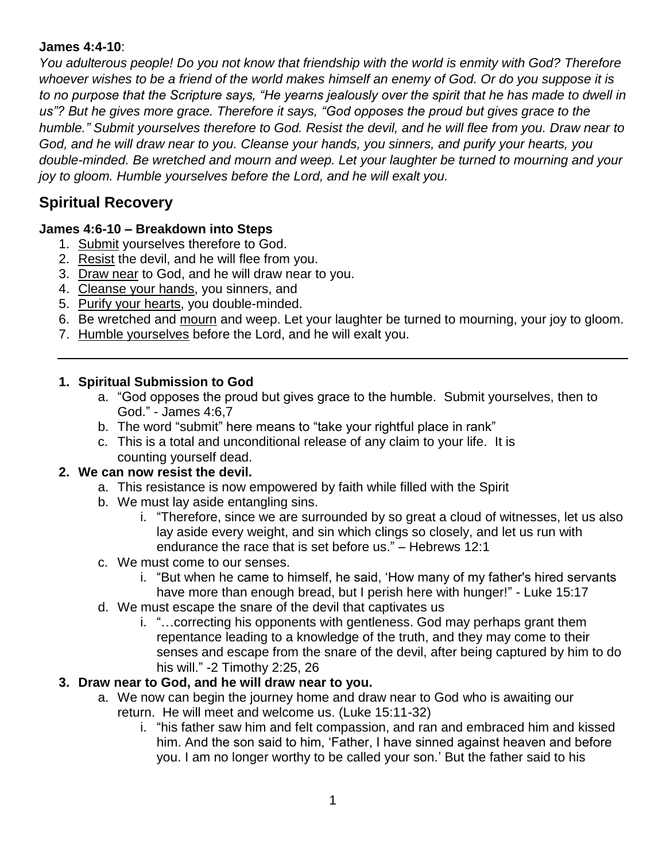## **James 4:4-10**:

*You adulterous people! Do you not know that friendship with the world is enmity with God? Therefore whoever wishes to be a friend of the world makes himself an enemy of God. Or do you suppose it is to no purpose that the Scripture says, "He yearns jealously over the spirit that he has made to dwell in us"? But he gives more grace. Therefore it says, "God opposes the proud but gives grace to the humble." Submit yourselves therefore to God. Resist the devil, and he will flee from you. Draw near to God, and he will draw near to you. Cleanse your hands, you sinners, and purify your hearts, you double-minded. Be wretched and mourn and weep. Let your laughter be turned to mourning and your joy to gloom. Humble yourselves before the Lord, and he will exalt you.*

# **Spiritual Recovery**

## **James 4:6-10 – Breakdown into Steps**

- 1. Submit yourselves therefore to God.
- 2. Resist the devil, and he will flee from you.
- 3. Draw near to God, and he will draw near to you.
- 4. Cleanse your hands, you sinners, and
- 5. Purify your hearts, you double-minded.
- 6. Be wretched and mourn and weep. Let your laughter be turned to mourning, your joy to gloom.
- 7. Humble yourselves before the Lord, and he will exalt you.

#### **1. Spiritual Submission to God**

- a. "God opposes the proud but gives grace to the humble. Submit yourselves, then to God." - James 4:6,7
- b. The word "submit" here means to "take your rightful place in rank"
- c. This is a total and unconditional release of any claim to your life. It is counting yourself dead.

#### **2. We can now resist the devil.**

- a. This resistance is now empowered by faith while filled with the Spirit
- b. We must lay aside entangling sins.
	- i. "Therefore, since we are surrounded by so great a cloud of witnesses, let us also lay aside every weight, and sin which clings so closely, and let us run with endurance the race that is set before us." – Hebrews 12:1
- c. We must come to our senses.
	- i. "But when he came to himself, he said, 'How many of my father's hired servants have more than enough bread, but I perish here with hunger!" - Luke 15:17
- d. We must escape the snare of the devil that captivates us
	- i. "…correcting his opponents with gentleness. God may perhaps grant them repentance leading to a knowledge of the truth, and they may come to their senses and escape from the snare of the devil, after being captured by him to do his will." -2 Timothy 2:25, 26

## **3. Draw near to God, and he will draw near to you.**

- a. We now can begin the journey home and draw near to God who is awaiting our return. He will meet and welcome us. (Luke 15:11-32)
	- i. "his father saw him and felt compassion, and ran and embraced him and kissed him. And the son said to him, 'Father, I have sinned against heaven and before you. I am no longer worthy to be called your son.' But the father said to his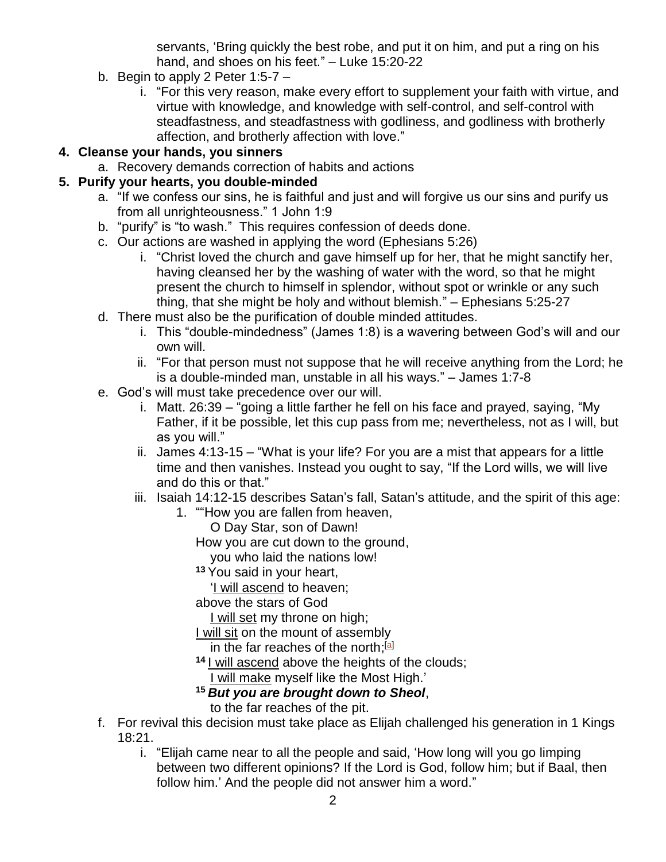servants, 'Bring quickly the best robe, and put it on him, and put a ring on his hand, and shoes on his feet." – Luke 15:20-22

- b. Begin to apply 2 Peter  $1:5-7$ 
	- i. "For this very reason, make every effort to supplement your faith with virtue, and virtue with knowledge, and knowledge with self-control, and self-control with steadfastness, and steadfastness with godliness, and godliness with brotherly affection, and brotherly affection with love."

## **4. Cleanse your hands, you sinners**

a. Recovery demands correction of habits and actions

## **5. Purify your hearts, you double-minded**

- a. "If we confess our sins, he is faithful and just and will forgive us our sins and purify us from all unrighteousness." 1 John 1:9
- b. "purify" is "to wash." This requires confession of deeds done.
- c. Our actions are washed in applying the word (Ephesians 5:26)
	- i. "Christ loved the church and gave himself up for her, that he might sanctify her, having cleansed her by the washing of water with the word, so that he might present the church to himself in splendor, without spot or wrinkle or any such thing, that she might be holy and without blemish." – Ephesians 5:25-27
- d. There must also be the purification of double minded attitudes.
	- i. This "double-mindedness" (James 1:8) is a wavering between God's will and our own will.
	- ii. "For that person must not suppose that he will receive anything from the Lord; he is a double-minded man, unstable in all his ways." – James 1:7-8
- e. God's will must take precedence over our will.
	- i. Matt. 26:39 "going a little farther he fell on his face and prayed, saying, "My Father, if it be possible, let this cup pass from me; nevertheless, not as I will, but as you will."
	- ii. James 4:13-15 "What is your life? For you are a mist that appears for a little time and then vanishes. Instead you ought to say, "If the Lord wills, we will live and do this or that."
	- iii. Isaiah 14:12-15 describes Satan's fall, Satan's attitude, and the spirit of this age:
		- 1. ""How you are fallen from heaven,
			- O Day Star, son of Dawn!
			- How you are cut down to the ground,
			- you who laid the nations low!
			- **<sup>13</sup>** You said in your heart,
				- 'I will ascend to heaven;
			- above the stars of God

I will set my throne on high;

I will sit on the mount of assembly

in the far reaches of the north;<sup>[\[a\]](https://www.biblegateway.com/passage/?search=Isaiah+14%3A12-15&version=ESV#fen-ESV-17942a)</sup>

**<sup>14</sup>** I will ascend above the heights of the clouds;

I will make myself like the Most High.'

**<sup>15</sup>** *But you are brought down to Sheol*,

to the far reaches of the pit.

- f. For revival this decision must take place as Elijah challenged his generation in 1 Kings 18:21.
	- i. "Elijah came near to all the people and said, 'How long will you go limping between two different opinions? If the Lord is God, follow him; but if Baal, then follow him.' And the people did not answer him a word."